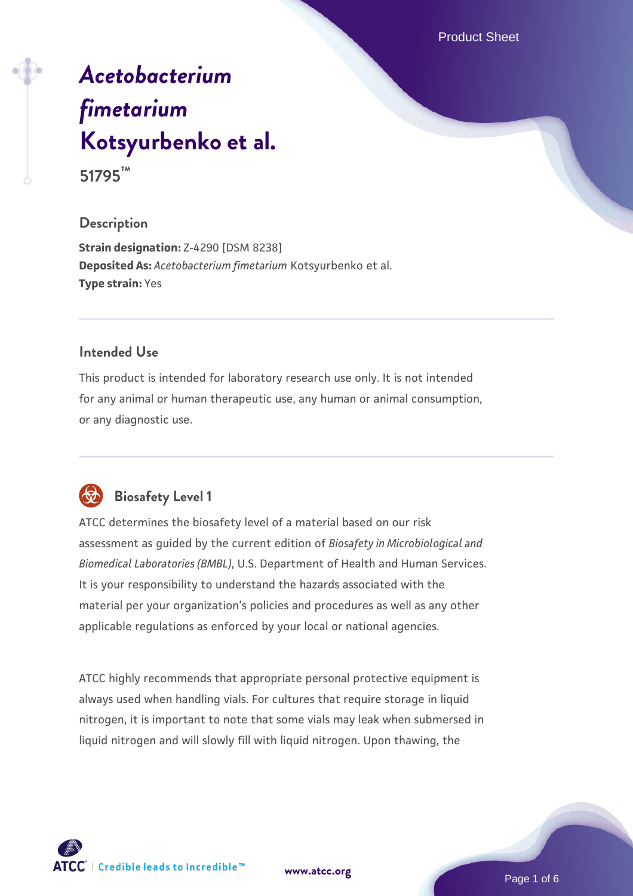Product Sheet

# *[Acetobacterium](https://www.atcc.org/products/51795) [fimetarium](https://www.atcc.org/products/51795)* **[Kotsyurbenko et al.](https://www.atcc.org/products/51795) 51795™**

#### **Description**

**Strain designation:** Z-4290 [DSM 8238] **Deposited As:** *Acetobacterium fimetarium* Kotsyurbenko et al. **Type strain:** Yes

#### **Intended Use**

This product is intended for laboratory research use only. It is not intended for any animal or human therapeutic use, any human or animal consumption, or any diagnostic use.



# **Biosafety Level 1**

ATCC determines the biosafety level of a material based on our risk assessment as guided by the current edition of *Biosafety in Microbiological and Biomedical Laboratories (BMBL)*, U.S. Department of Health and Human Services. It is your responsibility to understand the hazards associated with the material per your organization's policies and procedures as well as any other applicable regulations as enforced by your local or national agencies.

ATCC highly recommends that appropriate personal protective equipment is always used when handling vials. For cultures that require storage in liquid nitrogen, it is important to note that some vials may leak when submersed in liquid nitrogen and will slowly fill with liquid nitrogen. Upon thawing, the



**[www.atcc.org](http://www.atcc.org)**

Page 1 of 6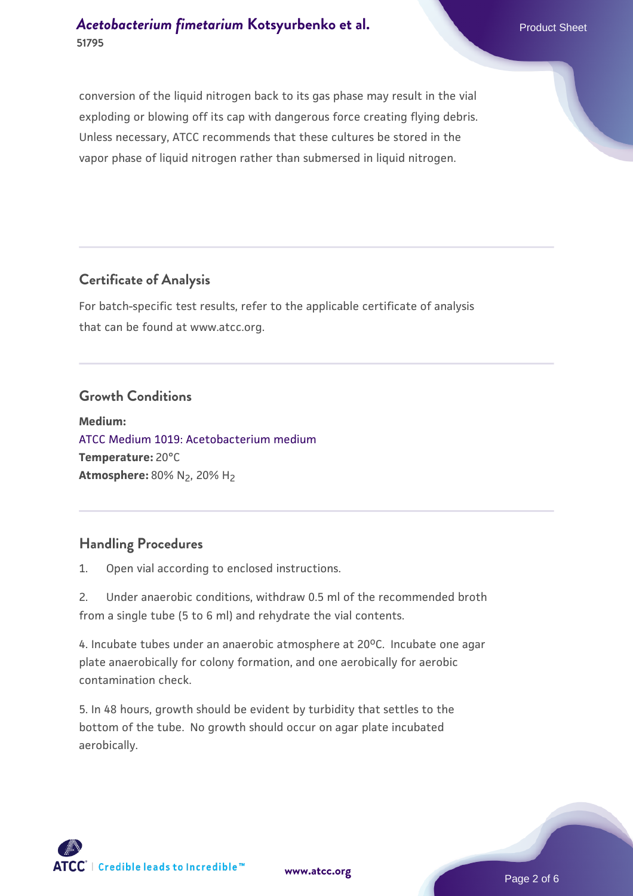conversion of the liquid nitrogen back to its gas phase may result in the vial exploding or blowing off its cap with dangerous force creating flying debris. Unless necessary, ATCC recommends that these cultures be stored in the vapor phase of liquid nitrogen rather than submersed in liquid nitrogen.

#### **Certificate of Analysis**

For batch-specific test results, refer to the applicable certificate of analysis that can be found at www.atcc.org.

#### **Growth Conditions**

**Medium:**  [ATCC Medium 1019: Acetobacterium medium](https://www.atcc.org/-/media/product-assets/documents/microbial-media-formulations/atcc-medium-1019.pdf?rev=0bb3f7507bd44e9fa1fc460227d1d0dc) **Temperature:** 20°C **Atmosphere: 80% N<sub>2</sub>, 20% H<sub>2</sub>** 

## **Handling Procedures**

1. Open vial according to enclosed instructions.

2. Under anaerobic conditions, withdraw 0.5 ml of the recommended broth from a single tube (5 to 6 ml) and rehydrate the vial contents.

4. Incubate tubes under an anaerobic atmosphere at  $20^{\circ}$ C. Incubate one agar plate anaerobically for colony formation, and one aerobically for aerobic contamination check.

5. In 48 hours, growth should be evident by turbidity that settles to the bottom of the tube. No growth should occur on agar plate incubated aerobically.



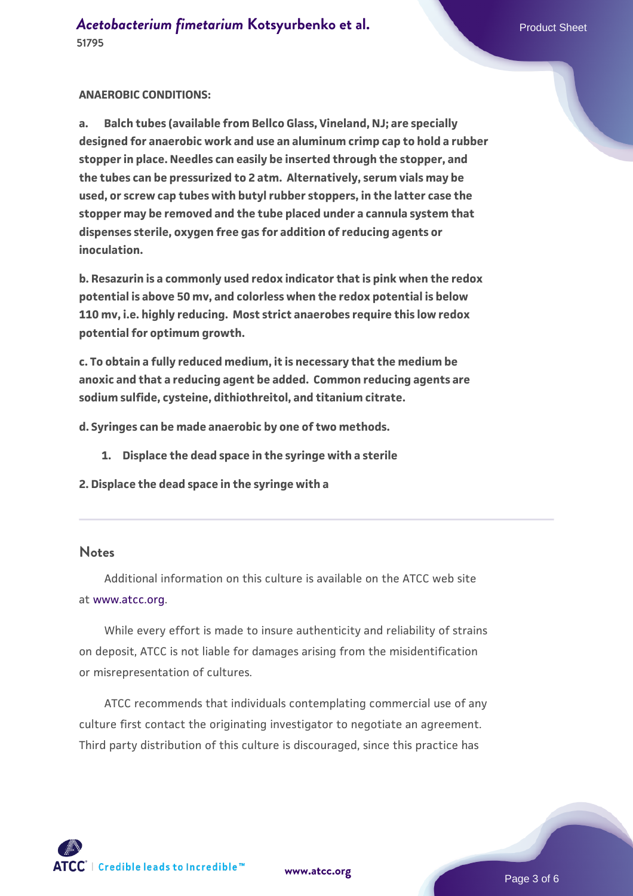#### **ANAEROBIC CONDITIONS:**

**a. Balch tubes (available from Bellco Glass, Vineland, NJ; are specially designed for anaerobic work and use an aluminum crimp cap to hold a rubber stopper in place. Needles can easily be inserted through the stopper, and the tubes can be pressurized to 2 atm. Alternatively, serum vials may be used, or screw cap tubes with butyl rubber stoppers, in the latter case the stopper may be removed and the tube placed under a cannula system that dispenses sterile, oxygen free gas for addition of reducing agents or inoculation.**

**b. Resazurin is a commonly used redox indicator that is pink when the redox potential is above 50 mv, and colorless when the redox potential is below 110 mv, i.e. highly reducing. Most strict anaerobes require this low redox potential for optimum growth.**

**c. To obtain a fully reduced medium, it is necessary that the medium be anoxic and that a reducing agent be added. Common reducing agents are sodium sulfide, cysteine, dithiothreitol, and titanium citrate.**

**d. Syringes can be made anaerobic by one of two methods.** 

- **1. Displace the dead space in the syringe with a sterile**
- **2. Displace the dead space in the syringe with a**

#### **Notes**

 Additional information on this culture is available on the ATCC web site at [www.atcc.org.](http://www.atcc.org/)

 While every effort is made to insure authenticity and reliability of strains on deposit, ATCC is not liable for damages arising from the misidentification or misrepresentation of cultures.

 ATCC recommends that individuals contemplating commercial use of any culture first contact the originating investigator to negotiate an agreement. Third party distribution of this culture is discouraged, since this practice has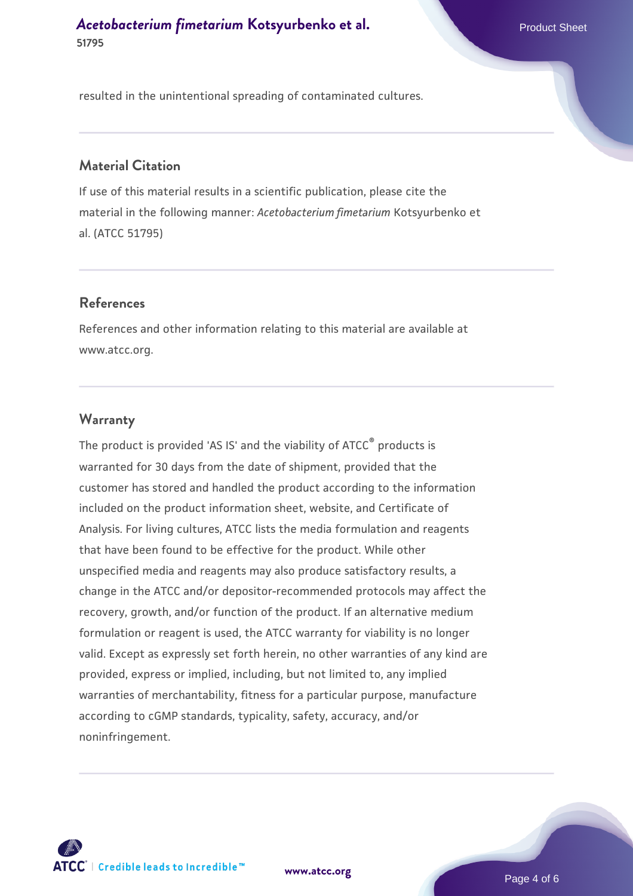**[Acetobacterium fimetarium](https://www.atcc.org/products/51795) [Kotsyurbenko et al.](https://www.atcc.org/products/51795)** Product Sheet **51795**

resulted in the unintentional spreading of contaminated cultures.

#### **Material Citation**

If use of this material results in a scientific publication, please cite the material in the following manner: *Acetobacterium fimetarium* Kotsyurbenko et al. (ATCC 51795)

#### **References**

References and other information relating to this material are available at www.atcc.org.

#### **Warranty**

The product is provided 'AS IS' and the viability of ATCC® products is warranted for 30 days from the date of shipment, provided that the customer has stored and handled the product according to the information included on the product information sheet, website, and Certificate of Analysis. For living cultures, ATCC lists the media formulation and reagents that have been found to be effective for the product. While other unspecified media and reagents may also produce satisfactory results, a change in the ATCC and/or depositor-recommended protocols may affect the recovery, growth, and/or function of the product. If an alternative medium formulation or reagent is used, the ATCC warranty for viability is no longer valid. Except as expressly set forth herein, no other warranties of any kind are provided, express or implied, including, but not limited to, any implied warranties of merchantability, fitness for a particular purpose, manufacture according to cGMP standards, typicality, safety, accuracy, and/or noninfringement.



**[www.atcc.org](http://www.atcc.org)**

Page 4 of 6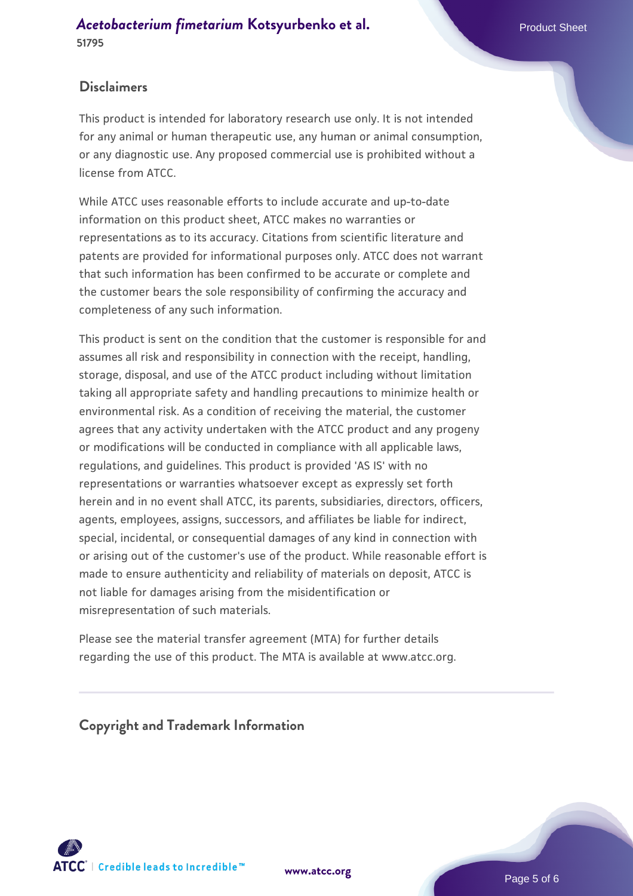#### **[Acetobacterium fimetarium](https://www.atcc.org/products/51795) [Kotsyurbenko et al.](https://www.atcc.org/products/51795)** Product Sheet **51795**

### **Disclaimers**

This product is intended for laboratory research use only. It is not intended for any animal or human therapeutic use, any human or animal consumption, or any diagnostic use. Any proposed commercial use is prohibited without a license from ATCC.

While ATCC uses reasonable efforts to include accurate and up-to-date information on this product sheet, ATCC makes no warranties or representations as to its accuracy. Citations from scientific literature and patents are provided for informational purposes only. ATCC does not warrant that such information has been confirmed to be accurate or complete and the customer bears the sole responsibility of confirming the accuracy and completeness of any such information.

This product is sent on the condition that the customer is responsible for and assumes all risk and responsibility in connection with the receipt, handling, storage, disposal, and use of the ATCC product including without limitation taking all appropriate safety and handling precautions to minimize health or environmental risk. As a condition of receiving the material, the customer agrees that any activity undertaken with the ATCC product and any progeny or modifications will be conducted in compliance with all applicable laws, regulations, and guidelines. This product is provided 'AS IS' with no representations or warranties whatsoever except as expressly set forth herein and in no event shall ATCC, its parents, subsidiaries, directors, officers, agents, employees, assigns, successors, and affiliates be liable for indirect, special, incidental, or consequential damages of any kind in connection with or arising out of the customer's use of the product. While reasonable effort is made to ensure authenticity and reliability of materials on deposit, ATCC is not liable for damages arising from the misidentification or misrepresentation of such materials.

Please see the material transfer agreement (MTA) for further details regarding the use of this product. The MTA is available at www.atcc.org.

**Copyright and Trademark Information**